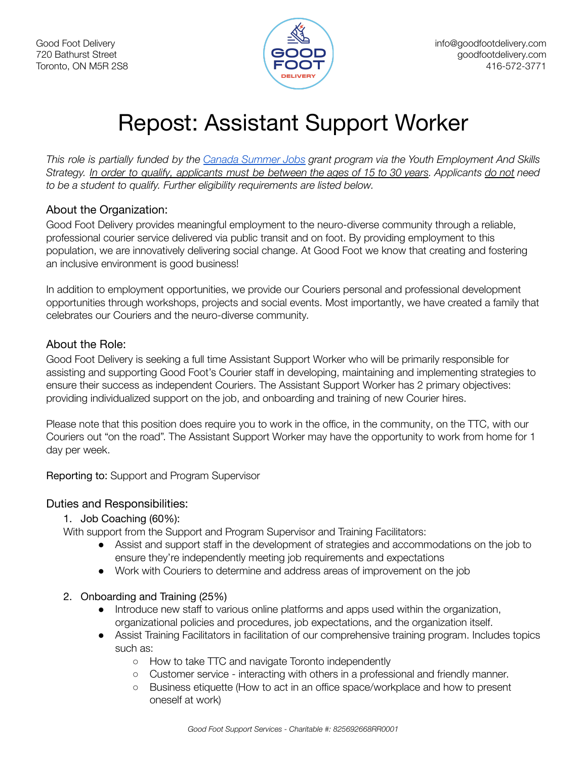

# Repost: Assistant Support Worker

This role is partially funded by the Canada [Summer](https://www.canada.ca/en/employment-social-development/services/funding/canada-summer-jobs.html) Jobs grant program via the Youth Employment And Skills Strategy. In order to qualify, applicants must be between the ages of 15 to 30 years. Applicants do not need *to be a student to qualify. Further eligibility requirements are listed below.*

#### About the Organization:

Good Foot Delivery provides meaningful employment to the neuro-diverse community through a reliable, professional courier service delivered via public transit and on foot. By providing employment to this population, we are innovatively delivering social change. At Good Foot we know that creating and fostering an inclusive environment is good business!

In addition to employment opportunities, we provide our Couriers personal and professional development opportunities through workshops, projects and social events. Most importantly, we have created a family that celebrates our Couriers and the neuro-diverse community.

## About the Role:

Good Foot Delivery is seeking a full time Assistant Support Worker who will be primarily responsible for assisting and supporting Good Foot's Courier staff in developing, maintaining and implementing strategies to ensure their success as independent Couriers. The Assistant Support Worker has 2 primary objectives: providing individualized support on the job, and onboarding and training of new Courier hires.

Please note that this position does require you to work in the office, in the community, on the TTC, with our Couriers out "on the road". The Assistant Support Worker may have the opportunity to work from home for 1 day per week.

Reporting to: Support and Program Supervisor

#### Duties and Responsibilities:

#### 1. Job Coaching (60%):

With support from the Support and Program Supervisor and Training Facilitators:

- Assist and support staff in the development of strategies and accommodations on the job to ensure they're independently meeting job requirements and expectations
- Work with Couriers to determine and address areas of improvement on the job
- 2. Onboarding and Training (25%)
	- Introduce new staff to various online platforms and apps used within the organization, organizational policies and procedures, job expectations, and the organization itself.
	- Assist Training Facilitators in facilitation of our comprehensive training program. Includes topics such as:
		- How to take TTC and navigate Toronto independently
		- Customer service interacting with others in a professional and friendly manner.
		- Business etiquette (How to act in an office space/workplace and how to present oneself at work)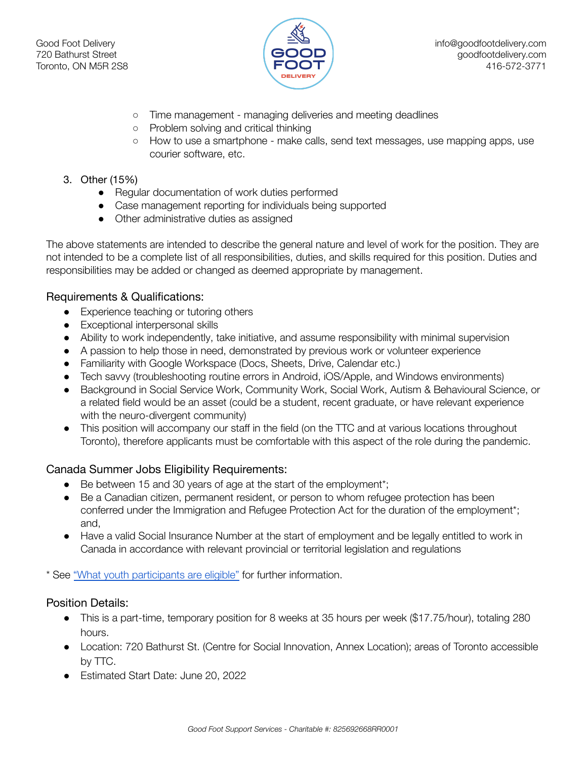

- Time management managing deliveries and meeting deadlines
- Problem solving and critical thinking
- How to use a smartphone make calls, send text messages, use mapping apps, use courier software, etc.

#### 3. Other (15%)

- Regular documentation of work duties performed
- Case management reporting for individuals being supported
- Other administrative duties as assigned

The above statements are intended to describe the general nature and level of work for the position. They are not intended to be a complete list of all responsibilities, duties, and skills required for this position. Duties and responsibilities may be added or changed as deemed appropriate by management.

#### Requirements & Qualifications:

- Experience teaching or tutoring others
- Exceptional interpersonal skills
- Ability to work independently, take initiative, and assume responsibility with minimal supervision
- A passion to help those in need, demonstrated by previous work or volunteer experience
- Familiarity with Google Workspace (Docs, Sheets, Drive, Calendar etc.)
- Tech savvy (troubleshooting routine errors in Android, iOS/Apple, and Windows environments)
- Background in Social Service Work, Community Work, Social Work, Autism & Behavioural Science, or a related field would be an asset (could be a student, recent graduate, or have relevant experience with the neuro-divergent community)
- This position will accompany our staff in the field (on the TTC and at various locations throughout Toronto), therefore applicants must be comfortable with this aspect of the role during the pandemic.

#### Canada Summer Jobs Eligibility Requirements:

- Be between 15 and 30 years of age at the start of the employment\*;
- Be a Canadian citizen, permanent resident, or person to whom refugee protection has been conferred under the Immigration and Refugee Protection Act for the duration of the employment\*; and,
- Have a valid Social Insurance Number at the start of employment and be legally entitled to work in Canada in accordance with relevant provincial or territorial legislation and regulations

\* See "What youth [participants](https://www.canada.ca/en/employment-social-development/services/funding/canada-summer-jobs/screening-eligibility.html) are eligible" for further information.

#### Position Details:

- This is a part-time, temporary position for 8 weeks at 35 hours per week (\$17.75/hour), totaling 280 hours.
- Location: 720 Bathurst St. (Centre for Social Innovation, Annex Location); areas of Toronto accessible by TTC.
- Estimated Start Date: June 20, 2022